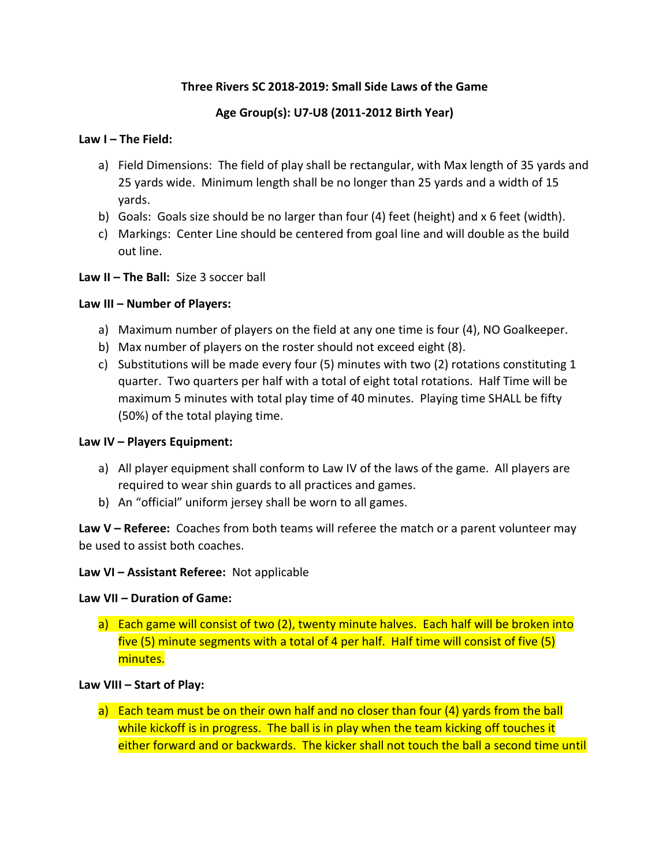# Three Rivers SC 2018-2019: Small Side Laws of the Game

# Age Group(s): U7-U8 (2011-2012 Birth Year)

#### Law I – The Field:

- a) Field Dimensions: The field of play shall be rectangular, with Max length of 35 yards and 25 yards wide. Minimum length shall be no longer than 25 yards and a width of 15 yards.
- b) Goals: Goals size should be no larger than four (4) feet (height) and x 6 feet (width).
- c) Markings: Center Line should be centered from goal line and will double as the build out line.

### Law II – The Ball: Size 3 soccer ball

### Law III – Number of Players:

- a) Maximum number of players on the field at any one time is four (4), NO Goalkeeper.
- b) Max number of players on the roster should not exceed eight (8).
- c) Substitutions will be made every four (5) minutes with two (2) rotations constituting 1 quarter. Two quarters per half with a total of eight total rotations. Half Time will be maximum 5 minutes with total play time of 40 minutes. Playing time SHALL be fifty (50%) of the total playing time.

### Law IV – Players Equipment:

- a) All player equipment shall conform to Law IV of the laws of the game. All players are required to wear shin guards to all practices and games.
- b) An "official" uniform jersey shall be worn to all games.

Law  $V$  – Referee: Coaches from both teams will referee the match or a parent volunteer may be used to assist both coaches.

### Law VI – Assistant Referee: Not applicable

### Law VII – Duration of Game:

a) Each game will consist of two (2), twenty minute halves. Each half will be broken into five (5) minute segments with a total of 4 per half. Half time will consist of five (5) minutes.

### Law VIII – Start of Play:

a) Each team must be on their own half and no closer than four (4) yards from the ball while kickoff is in progress. The ball is in play when the team kicking off touches it either forward and or backwards. The kicker shall not touch the ball a second time until